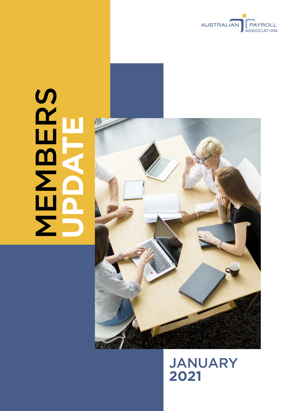

# **MBERS UPDATE**



JANUARY **2021**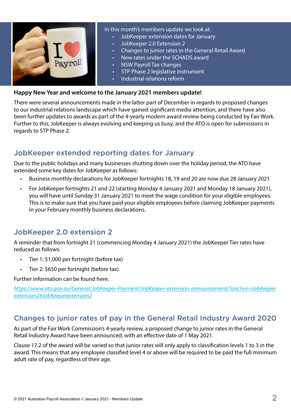

#### In this month's members update we look at:

- JobKeeper extension dates for January
- JobKeeper 2.0 Extension 2
- Changes to junior rates in the General Retail Award
- • New rates under the SCHADS award
- **NSW Payroll Tax changes**
- **STP Phase 2 legislative instrument**
- Industrial relations reform

#### **Happy New Year and welcome to the January 2021 members update!**

There were several announcements made in the latter part of December in regards to proposed changes to our industrial relations landscape which have gained significant media attention, and there have also been further updates to awards as part of the 4-yearly modern award review being conducted by Fair Work. Further to this, JobKeeper is always evolving and keeping us busy, and the ATO is open for submissions in regards to STP Phase 2.

# JobKeeper extended reporting dates for January

Due to the public holidays and many businesses shutting down over the holiday period, the ATO have extended some key dates for JobKeeper as follows:

- • Business monthly declarations for JobKeeper fortnights 18, 19 and 20 are now due 28 January 2021
- For JobKeeper fortnights 21 and 22 (starting Monday 4 January 2021 and Monday 18 January 2021), you will have until Sunday 31 January 2021 to meet the wage condition for your eligible employees. This is to make sure that you have paid your eligible employees before claiming JobKeeper payments in your February monthly business declarations.

## JobKeeper 2.0 extension 2

A reminder that from fortnight 21 (commencing Monday 4 January 2021) the JobKeeper Tier rates have reduced as follows:

- Tier 1: \$1,000 per fortnight (before tax)
- • Tier 2: \$650 per fortnight (before tax).

### Further information can be found here:

*[https://www.ato.gov.au/General/JobKeeper-Payment/JobKeeper-extension-announcement/?anchor=JobKeeper](https://www.ato.gov.au/General/JobKeeper-Payment/JobKeeper-extension-announcement/?anchor=JobKeeperextension2#JobKeeperextension2) [extension2#JobKeeperextension2](https://www.ato.gov.au/General/JobKeeper-Payment/JobKeeper-extension-announcement/?anchor=JobKeeperextension2#JobKeeperextension2)*

## Changes to junior rates of pay in the General Retail Industry Award 2020

As part of the Fair Work Commission's 4-yearly review, a proposed change to junior rates in the General Retail Industry Award have been announced, with an effective date of 1 May 2021.

Clause 17.2 of the award will be varied so that junior rates will only apply to classification levels 1 to 3 in the award. This means that any employee classified level 4 or above will be required to be paid the full minimum adult rate of pay, regardless of their age.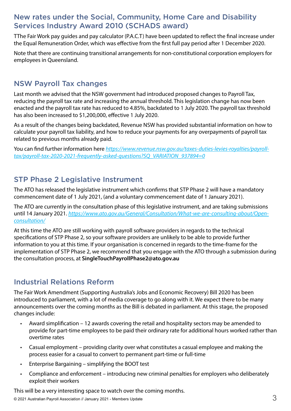# New rates under the Social, Community, Home Care and Disability Services Industry Award 2010 (SCHADS award)

TThe Fair Work pay guides and pay calculator (P.A.C.T) have been updated to reflect the final increase under the Equal Remuneration Order, which was effective from the first full pay period after 1 December 2020.

Note that there are continuing transitional arrangements for non-constitutional corporation employers for employees in Queensland.

# NSW Payroll Tax changes

Last month we advised that the NSW government had introduced proposed changes to Payroll Tax, reducing the payroll tax rate and increasing the annual threshold. This legislation change has now been enacted and the payroll tax rate has reduced to 4.85%, backdated to 1 July 2020. The payroll tax threshold has also been increased to \$1,200,000, effective 1 July 2020.

As a result of the changes being backdated, Revenue NSW has provided substantial information on how to calculate your payroll tax liability, and how to reduce your payments for any overpayments of payroll tax related to previous months already paid.

You can find further information here *[https://www.revenue.nsw.gov.au/taxes-duties-levies-royalties/payroll](https://www.revenue.nsw.gov.au/taxes-duties-levies-royalties/payroll-tax/payroll-tax-2020-2021-frequently-asked-questions?SQ_VARIATION_937894=0)[tax/payroll-tax-2020-2021-frequently-asked-questions?SQ\\_VARIATION\\_937894=0](https://www.revenue.nsw.gov.au/taxes-duties-levies-royalties/payroll-tax/payroll-tax-2020-2021-frequently-asked-questions?SQ_VARIATION_937894=0)*

# STP Phase 2 Legislative Instrument

The ATO has released the legislative instrument which confirms that STP Phase 2 will have a mandatory commencement date of 1 July 2021, (and a voluntary commencement date of 1 January 2021).

The ATO are currently in the consultation phase of this legislative instrument, and are taking submissions until 14 January 2021. *[https://www.ato.gov.au/General/Consultation/What-we-are-consulting-about/Open](https://www.ato.gov.au/General/Consultation/What-we-are-consulting-about/Open-consultation/)[consultation/](https://www.ato.gov.au/General/Consultation/What-we-are-consulting-about/Open-consultation/)*

At this time the ATO are still working with payroll software providers in regards to the technical specifications of STP Phase 2, so your software providers are unlikely to be able to provide further information to you at this time. If your organisation is concerned in regards to the time-frame for the implementation of STP Phase 2, we recommend that you engage with the ATO through a submission during the consultation process, at **[SingleTouchPayrollPhase2@ato.gov.au](mailto:SingleTouchPayrollPhase2@ato.gov.au)**

# Industrial Relations Reform

The Fair Work Amendment (Supporting Australia's Jobs and Economic Recovery) Bill 2020 has been introduced to parliament, with a lot of media coverage to go along with it. We expect there to be many announcements over the coming months as the Bill is debated in parliament. At this stage, the proposed changes include:

- • Award simplification 12 awards covering the retail and hospitality sectors may be amended to provide for part-time employees to be paid their ordinary rate for additional hours worked rather than overtime rates
- • Casual employment providing clarity over what constitutes a casual employee and making the process easier for a casual to convert to permanent part-time or full-time
- • Enterprise Bargaining simplifying the BOOT test
- Compliance and enforcement introducing new criminal penalties for employers who deliberately exploit their workers

This will be a very interesting space to watch over the coming months.